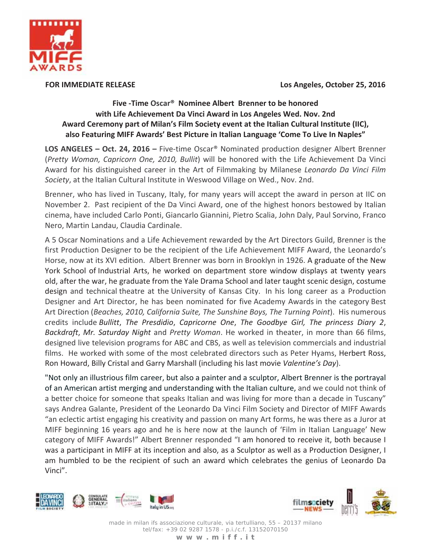

**FOR IMMEDIATE RELEASE** 

Los Angeles, October 25, 2016

## Five - Time Oscar<sup>®</sup> Nominee Albert Brenner to be honored with Life Achievement Da Vinci Award in Los Angeles Wed. Nov. 2nd Award Ceremony part of Milan's Film Society event at the Italian Cultural Institute (IIC), also Featuring MIFF Awards' Best Picture in Italian Language 'Come To Live In Naples"

**LOS ANGELES - Oct. 24, 2016 - Five-time Oscar® Nominated production designer Albert Brenner** (Pretty Woman, Capricorn One, 2010, Bullit) will be honored with the Life Achievement Da Vinci Award for his distinguished career in the Art of Filmmaking by Milanese Leonardo Da Vinci Film Society, at the Italian Cultural Institute in Weswood Village on Wed., Nov. 2nd.

Brenner, who has lived in Tuscany, Italy, for many years will accept the award in person at IIC on November 2. Past recipient of the Da Vinci Award, one of the highest honors bestowed by Italian cinema, have included Carlo Ponti, Giancarlo Giannini, Pietro Scalia, John Daly, Paul Sorvino, Franco Nero, Martin Landau, Claudia Cardinale.

A 5 Oscar Nominations and a Life Achievement rewarded by the Art Directors Guild, Brenner is the first Production Designer to be the recipient of the Life Achievement MIFF Award, the Leonardo's Horse, now at its XVI edition. Albert Brenner was born in Brooklyn in 1926. A graduate of the New York School of Industrial Arts, he worked on department store window displays at twenty years old, after the war, he graduate from the Yale Drama School and later taught scenic design, costume design and technical theatre at the University of Kansas City. In his long career as a Production Designer and Art Director, he has been nominated for five Academy Awards in the category Best Art Direction (Beaches, 2010, California Suite, The Sunshine Boys, The Turning Point). His numerous credits include Bullitt, The Presdidio, Capricorne One, The Goodbye Girl, The princess Diary 2, Backdraft, Mr. Saturday Night and Pretty Woman. He worked in theater, in more than 66 films, designed live television programs for ABC and CBS, as well as television commercials and industrial films. He worked with some of the most celebrated directors such as Peter Hyams, Herbert Ross, Ron Howard, Billy Cristal and Garry Marshall (including his last movie Valentine's Day).

"Not only an illustrious film career, but also a painter and a sculptor, Albert Brenner is the portrayal of an American artist merging and understanding with the Italian culture, and we could not think of a better choice for someone that speaks Italian and was living for more than a decade in Tuscany" says Andrea Galante, President of the Leonardo Da Vinci Film Society and Director of MIFF Awards an eclectic artist engaging his creativity and passion on many Art forms, he was there as a Juror at MIFF beginning 16 years ago and he is here now at the launch of 'Film in Italian Language' New category of MIFF Awards!" Albert Brenner responded "I am honored to receive it, both because I was a participant in MIFF at its inception and also, as a Sculptor as well as a Production Designer, I am humbled to be the recipient of such an award which celebrates the genius of Leonardo Da Vinci".





made in milan ifs associazione culturale, via tertulliano, 55 - 20137 milano tel/fax: +39 02 9287 1578 - p.i./c.f. 13152070150 www.miff.it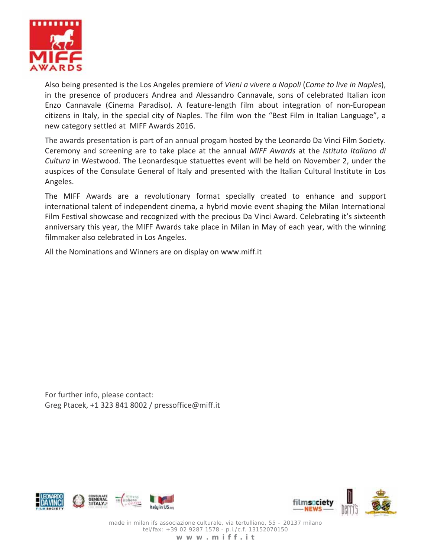

Also being presented is the Los Angeles premiere of Vieni a vivere a Napoli (Come to live in Naples), in the presence of producers Andrea and Alessandro Cannavale, sons of celebrated Italian icon Enzo Cannavale (Cinema Paradiso). A feature-length film about integration of non-European citizens in Italy, in the special city of Naples. The film won the "Best Film in Italian Language", a new category settled at MIFF Awards 2016.

The awards presentation is part of an annual progam hosted by the Leonardo Da Vinci Film Society. Ceremony and screening are to take place at the annual MIFF Awards at the Istituto Italiano di Cultura in Westwood. The Leonardesque statuettes event will be held on November 2, under the auspices of the Consulate General of Italy and presented with the Italian Cultural Institute in Los Angeles.

The MIFF Awards are a revolutionary format specially created to enhance and support international talent of independent cinema, a hybrid movie event shaping the Milan International Film Festival showcase and recognized with the precious Da Vinci Award. Celebrating it's sixteenth anniversary this year, the MIFF Awards take place in Milan in May of each year, with the winning filmmaker also celebrated in Los Angeles.

All the Nominations and Winners are on display on www.miff.it

For further info, please contact: Greg Ptacek, +1 323 841 8002 / pressoffice@miff.it





made in milan ifs associazione culturale, via tertulliano, 55 - 20137 milano tel/fax: +39 02 9287 1578 - p.i./c.f. 13152070150 www.miff.it